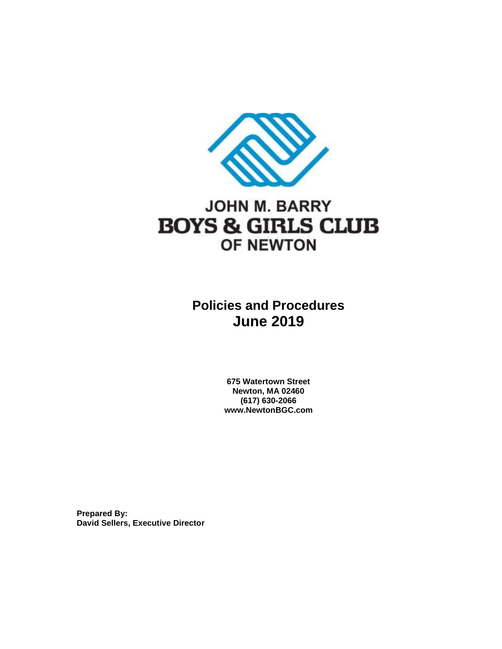

## **JOHN M. BARRY BOYS & GIRLS CLUB** OF NEWTON

### **Policies and Procedures June 2019**

**675 Watertown Street Newton, MA 02460 (617) 630-2066 www.NewtonBGC.com**

**Prepared By: David Sellers, Executive Director**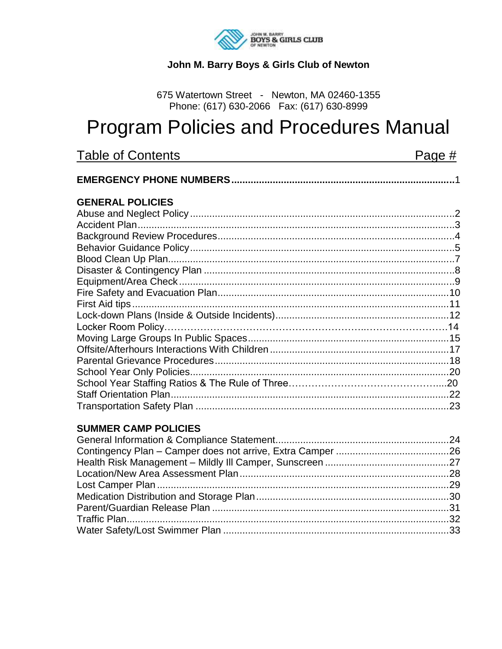

### John M. Barry Boys & Girls Club of Newton

675 Watertown Street - Newton, MA 02460-1355 Phone: (617) 630-2066 Fax: (617) 630-8999

# **Program Policies and Procedures Manual**

| Table of Contents       | Page # |
|-------------------------|--------|
|                         |        |
| <b>GENERAL POLICIES</b> |        |
|                         |        |
|                         |        |
|                         |        |
|                         |        |
|                         |        |
|                         |        |
|                         |        |
|                         |        |
|                         |        |
|                         |        |
|                         |        |
|                         |        |
|                         |        |
|                         |        |
|                         |        |
|                         |        |
|                         |        |
|                         |        |

### **SUMMER CAMP POLICIES**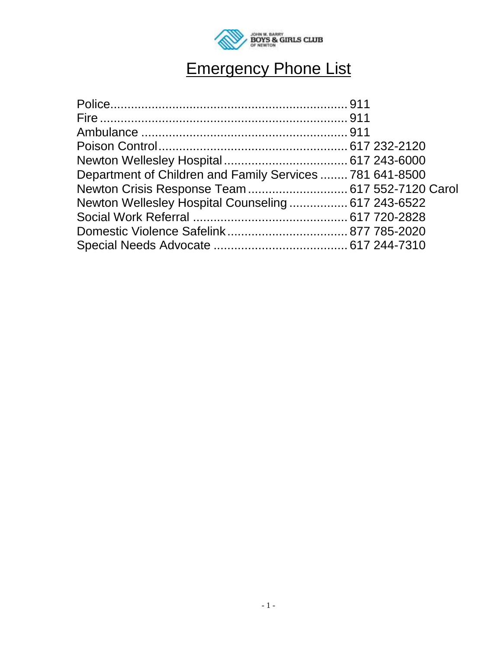

# Emergency Phone List

| Department of Children and Family Services  781 641-8500 |  |
|----------------------------------------------------------|--|
| Newton Crisis Response Team  617 552-7120 Carol          |  |
| Newton Wellesley Hospital Counseling 617 243-6522        |  |
|                                                          |  |
|                                                          |  |
|                                                          |  |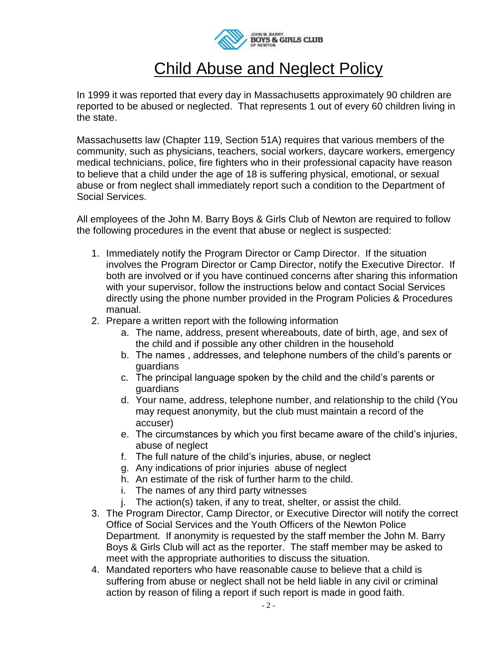

### Child Abuse and Neglect Policy

In 1999 it was reported that every day in Massachusetts approximately 90 children are reported to be abused or neglected. That represents 1 out of every 60 children living in the state.

Massachusetts law (Chapter 119, Section 51A) requires that various members of the community, such as physicians, teachers, social workers, daycare workers, emergency medical technicians, police, fire fighters who in their professional capacity have reason to believe that a child under the age of 18 is suffering physical, emotional, or sexual abuse or from neglect shall immediately report such a condition to the Department of Social Services.

All employees of the John M. Barry Boys & Girls Club of Newton are required to follow the following procedures in the event that abuse or neglect is suspected:

- 1. Immediately notify the Program Director or Camp Director. If the situation involves the Program Director or Camp Director, notify the Executive Director. If both are involved or if you have continued concerns after sharing this information with your supervisor, follow the instructions below and contact Social Services directly using the phone number provided in the Program Policies & Procedures manual.
- 2. Prepare a written report with the following information
	- a. The name, address, present whereabouts, date of birth, age, and sex of the child and if possible any other children in the household
	- b. The names , addresses, and telephone numbers of the child's parents or guardians
	- c. The principal language spoken by the child and the child's parents or guardians
	- d. Your name, address, telephone number, and relationship to the child (You may request anonymity, but the club must maintain a record of the accuser)
	- e. The circumstances by which you first became aware of the child's injuries, abuse of neglect
	- f. The full nature of the child's injuries, abuse, or neglect
	- g. Any indications of prior injuries abuse of neglect
	- h. An estimate of the risk of further harm to the child.
	- i. The names of any third party witnesses
	- j. The action(s) taken, if any to treat, shelter, or assist the child.
- 3. The Program Director, Camp Director, or Executive Director will notify the correct Office of Social Services and the Youth Officers of the Newton Police Department. If anonymity is requested by the staff member the John M. Barry Boys & Girls Club will act as the reporter. The staff member may be asked to meet with the appropriate authorities to discuss the situation.
- 4. Mandated reporters who have reasonable cause to believe that a child is suffering from abuse or neglect shall not be held liable in any civil or criminal action by reason of filing a report if such report is made in good faith.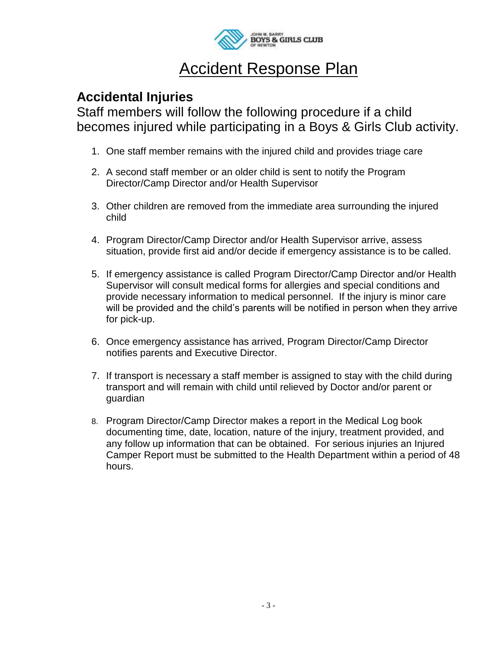

### Accident Response Plan

### **Accidental Injuries**

Staff members will follow the following procedure if a child becomes injured while participating in a Boys & Girls Club activity.

- 1. One staff member remains with the injured child and provides triage care
- 2. A second staff member or an older child is sent to notify the Program Director/Camp Director and/or Health Supervisor
- 3. Other children are removed from the immediate area surrounding the injured child
- 4. Program Director/Camp Director and/or Health Supervisor arrive, assess situation, provide first aid and/or decide if emergency assistance is to be called.
- 5. If emergency assistance is called Program Director/Camp Director and/or Health Supervisor will consult medical forms for allergies and special conditions and provide necessary information to medical personnel. If the injury is minor care will be provided and the child's parents will be notified in person when they arrive for pick-up.
- 6. Once emergency assistance has arrived, Program Director/Camp Director notifies parents and Executive Director.
- 7. If transport is necessary a staff member is assigned to stay with the child during transport and will remain with child until relieved by Doctor and/or parent or guardian
- 8. Program Director/Camp Director makes a report in the Medical Log book documenting time, date, location, nature of the injury, treatment provided, and any follow up information that can be obtained. For serious injuries an Injured Camper Report must be submitted to the Health Department within a period of 48 hours.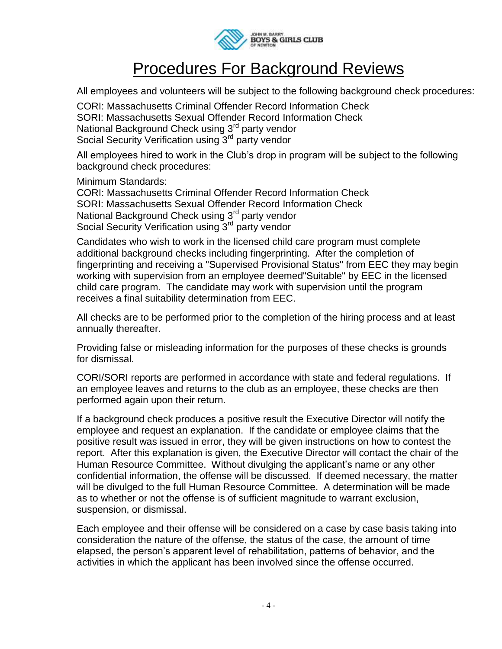

## Procedures For Background Reviews

All employees and volunteers will be subject to the following background check procedures:

CORI: Massachusetts Criminal Offender Record Information Check SORI: Massachusetts Sexual Offender Record Information Check National Background Check using 3<sup>rd</sup> party vendor Social Security Verification using 3<sup>rd</sup> party vendor

All employees hired to work in the Club's drop in program will be subject to the following background check procedures:

Minimum Standards:

CORI: Massachusetts Criminal Offender Record Information Check SORI: Massachusetts Sexual Offender Record Information Check National Background Check using 3<sup>rd</sup> party vendor Social Security Verification using 3rd party vendor

Candidates who wish to work in the licensed child care program must complete additional background checks including fingerprinting. After the completion of fingerprinting and receiving a "Supervised Provisional Status" from EEC they may begin working with supervision from an employee deemed"Suitable" by EEC in the licensed child care program. The candidate may work with supervision until the program receives a final suitability determination from EEC.

All checks are to be performed prior to the completion of the hiring process and at least annually thereafter.

Providing false or misleading information for the purposes of these checks is grounds for dismissal.

CORI/SORI reports are performed in accordance with state and federal regulations. If an employee leaves and returns to the club as an employee, these checks are then performed again upon their return.

If a background check produces a positive result the Executive Director will notify the employee and request an explanation. If the candidate or employee claims that the positive result was issued in error, they will be given instructions on how to contest the report. After this explanation is given, the Executive Director will contact the chair of the Human Resource Committee. Without divulging the applicant's name or any other confidential information, the offense will be discussed. If deemed necessary, the matter will be divulged to the full Human Resource Committee. A determination will be made as to whether or not the offense is of sufficient magnitude to warrant exclusion, suspension, or dismissal.

Each employee and their offense will be considered on a case by case basis taking into consideration the nature of the offense, the status of the case, the amount of time elapsed, the person's apparent level of rehabilitation, patterns of behavior, and the activities in which the applicant has been involved since the offense occurred.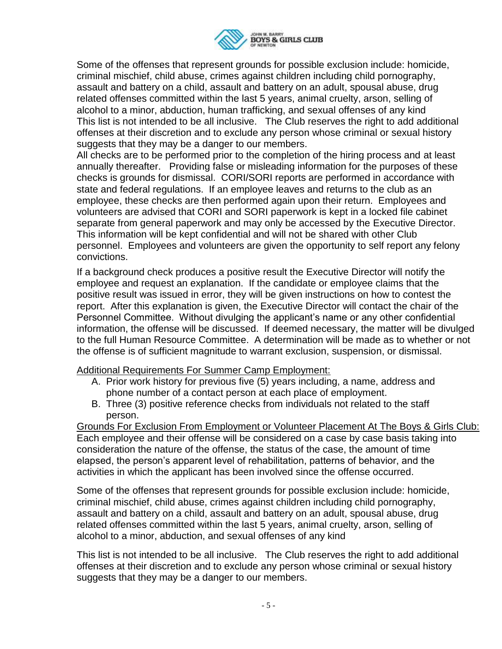

Some of the offenses that represent grounds for possible exclusion include: homicide, criminal mischief, child abuse, crimes against children including child pornography, assault and battery on a child, assault and battery on an adult, spousal abuse, drug related offenses committed within the last 5 years, animal cruelty, arson, selling of alcohol to a minor, abduction, human trafficking, and sexual offenses of any kind This list is not intended to be all inclusive. The Club reserves the right to add additional offenses at their discretion and to exclude any person whose criminal or sexual history suggests that they may be a danger to our members.

All checks are to be performed prior to the completion of the hiring process and at least annually thereafter. Providing false or misleading information for the purposes of these checks is grounds for dismissal. CORI/SORI reports are performed in accordance with state and federal regulations. If an employee leaves and returns to the club as an employee, these checks are then performed again upon their return. Employees and volunteers are advised that CORI and SORI paperwork is kept in a locked file cabinet separate from general paperwork and may only be accessed by the Executive Director. This information will be kept confidential and will not be shared with other Club personnel. Employees and volunteers are given the opportunity to self report any felony convictions.

If a background check produces a positive result the Executive Director will notify the employee and request an explanation. If the candidate or employee claims that the positive result was issued in error, they will be given instructions on how to contest the report. After this explanation is given, the Executive Director will contact the chair of the Personnel Committee. Without divulging the applicant's name or any other confidential information, the offense will be discussed. If deemed necessary, the matter will be divulged to the full Human Resource Committee. A determination will be made as to whether or not the offense is of sufficient magnitude to warrant exclusion, suspension, or dismissal.

Additional Requirements For Summer Camp Employment:

- A. Prior work history for previous five (5) years including, a name, address and phone number of a contact person at each place of employment.
- B. Three (3) positive reference checks from individuals not related to the staff person.

Grounds For Exclusion From Employment or Volunteer Placement At The Boys & Girls Club: Each employee and their offense will be considered on a case by case basis taking into consideration the nature of the offense, the status of the case, the amount of time elapsed, the person's apparent level of rehabilitation, patterns of behavior, and the activities in which the applicant has been involved since the offense occurred.

Some of the offenses that represent grounds for possible exclusion include: homicide, criminal mischief, child abuse, crimes against children including child pornography, assault and battery on a child, assault and battery on an adult, spousal abuse, drug related offenses committed within the last 5 years, animal cruelty, arson, selling of alcohol to a minor, abduction, and sexual offenses of any kind

This list is not intended to be all inclusive. The Club reserves the right to add additional offenses at their discretion and to exclude any person whose criminal or sexual history suggests that they may be a danger to our members.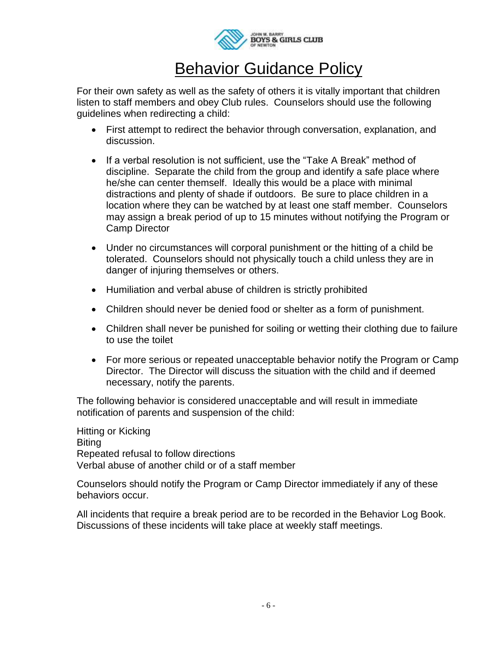

## Behavior Guidance Policy

For their own safety as well as the safety of others it is vitally important that children listen to staff members and obey Club rules. Counselors should use the following guidelines when redirecting a child:

- First attempt to redirect the behavior through conversation, explanation, and discussion.
- If a verbal resolution is not sufficient, use the "Take A Break" method of discipline. Separate the child from the group and identify a safe place where he/she can center themself. Ideally this would be a place with minimal distractions and plenty of shade if outdoors. Be sure to place children in a location where they can be watched by at least one staff member. Counselors may assign a break period of up to 15 minutes without notifying the Program or Camp Director
- Under no circumstances will corporal punishment or the hitting of a child be tolerated. Counselors should not physically touch a child unless they are in danger of injuring themselves or others.
- Humiliation and verbal abuse of children is strictly prohibited
- Children should never be denied food or shelter as a form of punishment.
- Children shall never be punished for soiling or wetting their clothing due to failure to use the toilet
- For more serious or repeated unacceptable behavior notify the Program or Camp Director. The Director will discuss the situation with the child and if deemed necessary, notify the parents.

The following behavior is considered unacceptable and will result in immediate notification of parents and suspension of the child:

Hitting or Kicking Biting Repeated refusal to follow directions Verbal abuse of another child or of a staff member

Counselors should notify the Program or Camp Director immediately if any of these behaviors occur.

All incidents that require a break period are to be recorded in the Behavior Log Book. Discussions of these incidents will take place at weekly staff meetings.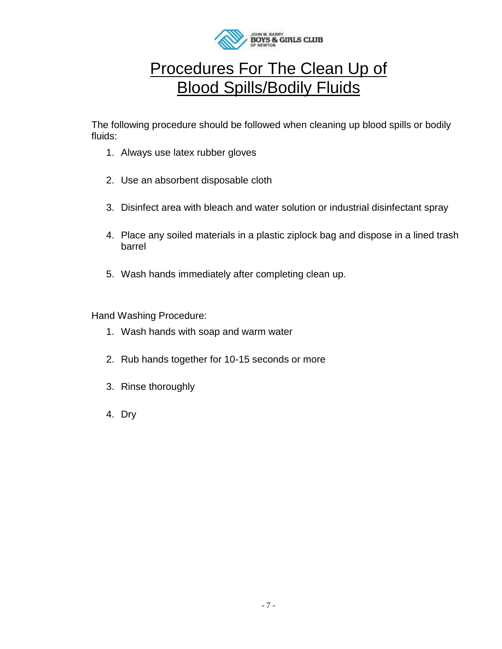

### Procedures For The Clean Up of Blood Spills/Bodily Fluids

The following procedure should be followed when cleaning up blood spills or bodily fluids:

- 1. Always use latex rubber gloves
- 2. Use an absorbent disposable cloth
- 3. Disinfect area with bleach and water solution or industrial disinfectant spray
- 4. Place any soiled materials in a plastic ziplock bag and dispose in a lined trash barrel
- 5. Wash hands immediately after completing clean up.

Hand Washing Procedure:

- 1. Wash hands with soap and warm water
- 2. Rub hands together for 10-15 seconds or more
- 3. Rinse thoroughly
- 4. Dry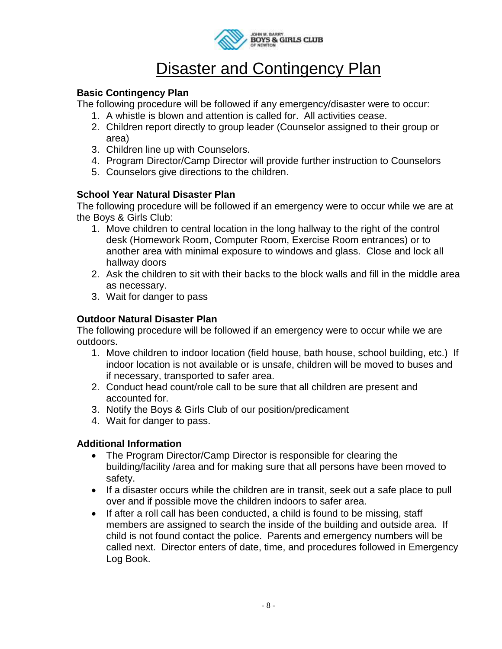

### **Disaster and Contingency Plan**

### **Basic Contingency Plan**

The following procedure will be followed if any emergency/disaster were to occur:

- 1. A whistle is blown and attention is called for. All activities cease.
- 2. Children report directly to group leader (Counselor assigned to their group or area)
- 3. Children line up with Counselors.
- 4. Program Director/Camp Director will provide further instruction to Counselors
- 5. Counselors give directions to the children.

### **School Year Natural Disaster Plan**

The following procedure will be followed if an emergency were to occur while we are at the Boys & Girls Club:

- 1. Move children to central location in the long hallway to the right of the control desk (Homework Room, Computer Room, Exercise Room entrances) or to another area with minimal exposure to windows and glass. Close and lock all hallway doors
- 2. Ask the children to sit with their backs to the block walls and fill in the middle area as necessary.
- 3. Wait for danger to pass

### **Outdoor Natural Disaster Plan**

The following procedure will be followed if an emergency were to occur while we are outdoors.

- 1. Move children to indoor location (field house, bath house, school building, etc.) If indoor location is not available or is unsafe, children will be moved to buses and if necessary, transported to safer area.
- 2. Conduct head count/role call to be sure that all children are present and accounted for.
- 3. Notify the Boys & Girls Club of our position/predicament
- 4. Wait for danger to pass.

### **Additional Information**

- The Program Director/Camp Director is responsible for clearing the building/facility /area and for making sure that all persons have been moved to safety.
- If a disaster occurs while the children are in transit, seek out a safe place to pull over and if possible move the children indoors to safer area.
- If after a roll call has been conducted, a child is found to be missing, staff members are assigned to search the inside of the building and outside area. If child is not found contact the police. Parents and emergency numbers will be called next. Director enters of date, time, and procedures followed in Emergency Log Book.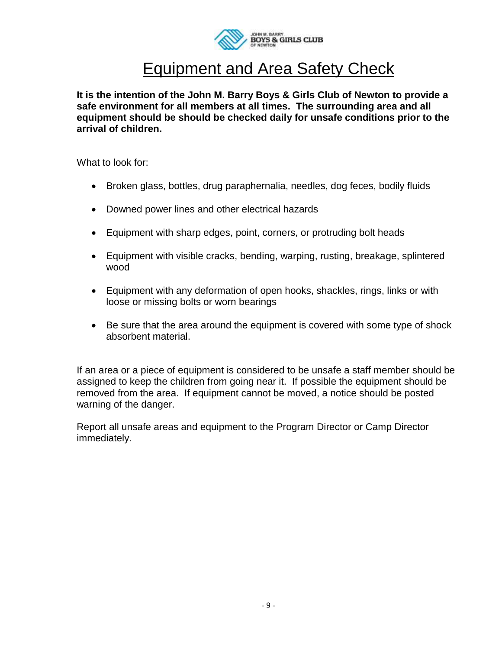

### Equipment and Area Safety Check

**It is the intention of the John M. Barry Boys & Girls Club of Newton to provide a safe environment for all members at all times. The surrounding area and all equipment should be should be checked daily for unsafe conditions prior to the arrival of children.**

What to look for:

- Broken glass, bottles, drug paraphernalia, needles, dog feces, bodily fluids
- Downed power lines and other electrical hazards
- Equipment with sharp edges, point, corners, or protruding bolt heads
- Equipment with visible cracks, bending, warping, rusting, breakage, splintered wood
- Equipment with any deformation of open hooks, shackles, rings, links or with loose or missing bolts or worn bearings
- Be sure that the area around the equipment is covered with some type of shock absorbent material.

If an area or a piece of equipment is considered to be unsafe a staff member should be assigned to keep the children from going near it. If possible the equipment should be removed from the area. If equipment cannot be moved, a notice should be posted warning of the danger.

Report all unsafe areas and equipment to the Program Director or Camp Director immediately.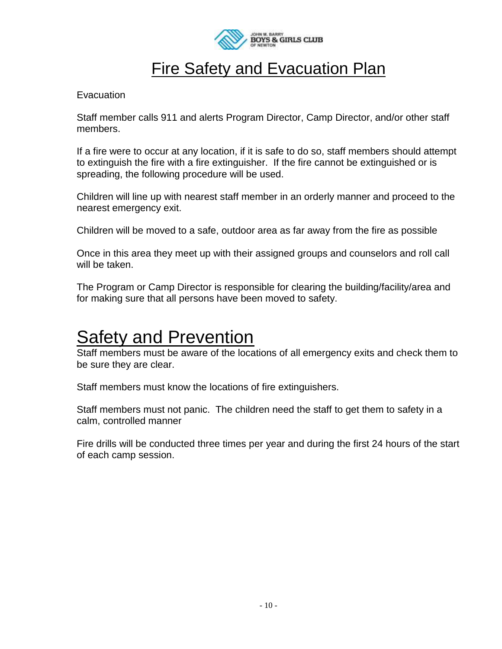

### **Fire Safety and Evacuation Plan**

#### **Evacuation**

Staff member calls 911 and alerts Program Director, Camp Director, and/or other staff members.

If a fire were to occur at any location, if it is safe to do so, staff members should attempt to extinguish the fire with a fire extinguisher. If the fire cannot be extinguished or is spreading, the following procedure will be used.

Children will line up with nearest staff member in an orderly manner and proceed to the nearest emergency exit.

Children will be moved to a safe, outdoor area as far away from the fire as possible

Once in this area they meet up with their assigned groups and counselors and roll call will be taken.

The Program or Camp Director is responsible for clearing the building/facility/area and for making sure that all persons have been moved to safety.

## **Safety and Prevention**

Staff members must be aware of the locations of all emergency exits and check them to be sure they are clear.

Staff members must know the locations of fire extinguishers.

Staff members must not panic. The children need the staff to get them to safety in a calm, controlled manner

Fire drills will be conducted three times per year and during the first 24 hours of the start of each camp session.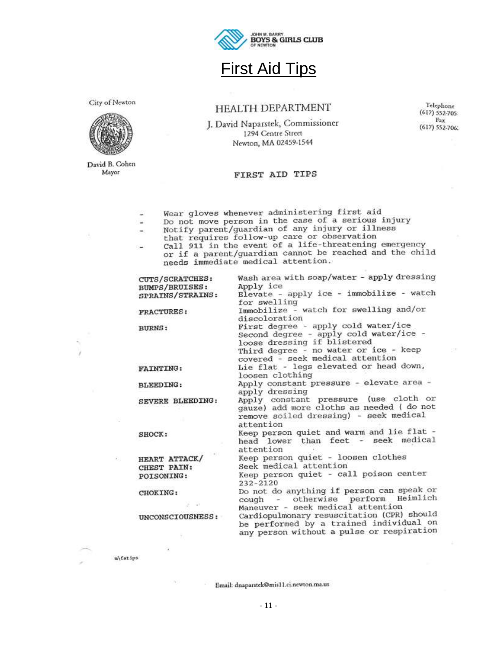

### **First Aid Tips**

City of Newton



David B. Cohen Mayor

m\fatips

#### HEALTH DEPARTMENT

J. David Naparstek, Commissioner 1294 Centre Street Newton, MA 02459-1544

Telephone  $(617) 552-705$ Fax (617) 552-706.

#### FIRST AID TIPS

Wear gloves whenever administering first aid

- -
- Wear gloves whenever administering first and<br>Do not move person in the case of a serious injury<br>Notify parent/guardian of any injury or illness<br>that requires follow-up care or observation<br>Call 911 in the event of a life-th  $\sim$ needs immediate medical attention.

DW-

| CUTS/SCRATCHES:   | Wash area with soap/water - apply dressing                                                                                                                                                |
|-------------------|-------------------------------------------------------------------------------------------------------------------------------------------------------------------------------------------|
| BUMPS/BRUISES:    | Apply ice                                                                                                                                                                                 |
| SPRAINS/STRAINS:  | Elevate - apply ice - immobilize - watch                                                                                                                                                  |
|                   | for swelling                                                                                                                                                                              |
| <b>FRACTURES:</b> | Immobilize - watch for swelling and/or<br>discoloration                                                                                                                                   |
| <b>BURNS:</b>     | First degree - apply cold water/ice<br>Second degree - apply cold water/ice -<br>loose dressing if blistered<br>Third degree - no water or ice - keep<br>covered - seek medical attention |
|                   |                                                                                                                                                                                           |
| <b>FAINTING:</b>  | Lie flat - legs elevated or head down,<br>loosen clothing                                                                                                                                 |
| <b>BLEEDING:</b>  | Apply constant pressure - elevate area -<br>apply dressing                                                                                                                                |
| SEVERE BLEEDING:  | Apply constant pressure (use cloth or<br>gauze) add more cloths as needed ( do not<br>remove soiled dressing) - seek medical<br>attention                                                 |
| SHOCK:            | Keep person quiet and warm and lie flat -<br>head lower than feet - seek medical<br>attention                                                                                             |
| HEART ATTACK/     | Keep person quiet - loosen clothes                                                                                                                                                        |
| CHEST PAIN:       | Seek medical attention                                                                                                                                                                    |
| POISONING:        | Keep person quiet - call poison center<br>$232 - 2120$                                                                                                                                    |
| CHOKING:          | Do not do anything if person can speak or<br>cough - otherwise perform Heimlich                                                                                                           |
| $-1$              | Maneuver - seek medical attention                                                                                                                                                         |
| UNCONSCIOUSNESS:  | Cardiopulmonary resuscitation (CPR) should<br>be performed by a trained individual on<br>any person without a pulse or respiration                                                        |
|                   |                                                                                                                                                                                           |

Email: dnaparstek@mis11.ci.newton.ma.us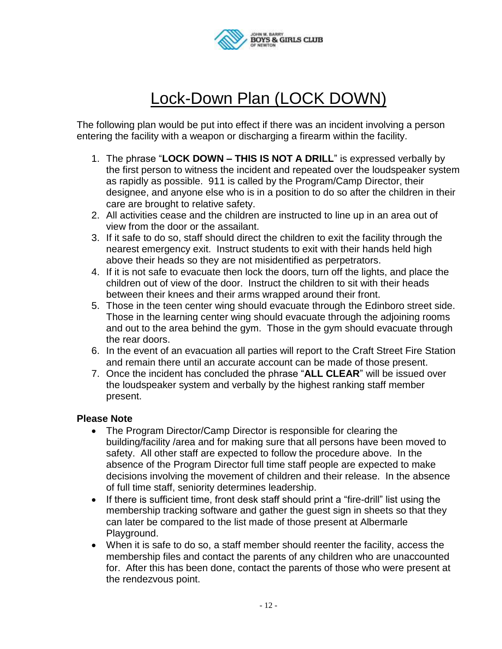

## Lock-Down Plan (LOCK DOWN)

The following plan would be put into effect if there was an incident involving a person entering the facility with a weapon or discharging a firearm within the facility.

- 1. The phrase "**LOCK DOWN – THIS IS NOT A DRILL**" is expressed verbally by the first person to witness the incident and repeated over the loudspeaker system as rapidly as possible. 911 is called by the Program/Camp Director, their designee, and anyone else who is in a position to do so after the children in their care are brought to relative safety.
- 2. All activities cease and the children are instructed to line up in an area out of view from the door or the assailant.
- 3. If it safe to do so, staff should direct the children to exit the facility through the nearest emergency exit. Instruct students to exit with their hands held high above their heads so they are not misidentified as perpetrators.
- 4. If it is not safe to evacuate then lock the doors, turn off the lights, and place the children out of view of the door. Instruct the children to sit with their heads between their knees and their arms wrapped around their front.
- 5. Those in the teen center wing should evacuate through the Edinboro street side. Those in the learning center wing should evacuate through the adjoining rooms and out to the area behind the gym. Those in the gym should evacuate through the rear doors.
- 6. In the event of an evacuation all parties will report to the Craft Street Fire Station and remain there until an accurate account can be made of those present.
- 7. Once the incident has concluded the phrase "**ALL CLEAR**" will be issued over the loudspeaker system and verbally by the highest ranking staff member present.

#### **Please Note**

- The Program Director/Camp Director is responsible for clearing the building/facility /area and for making sure that all persons have been moved to safety. All other staff are expected to follow the procedure above. In the absence of the Program Director full time staff people are expected to make decisions involving the movement of children and their release. In the absence of full time staff, seniority determines leadership.
- If there is sufficient time, front desk staff should print a "fire-drill" list using the membership tracking software and gather the guest sign in sheets so that they can later be compared to the list made of those present at Albermarle Playground.
- When it is safe to do so, a staff member should reenter the facility, access the membership files and contact the parents of any children who are unaccounted for. After this has been done, contact the parents of those who were present at the rendezvous point.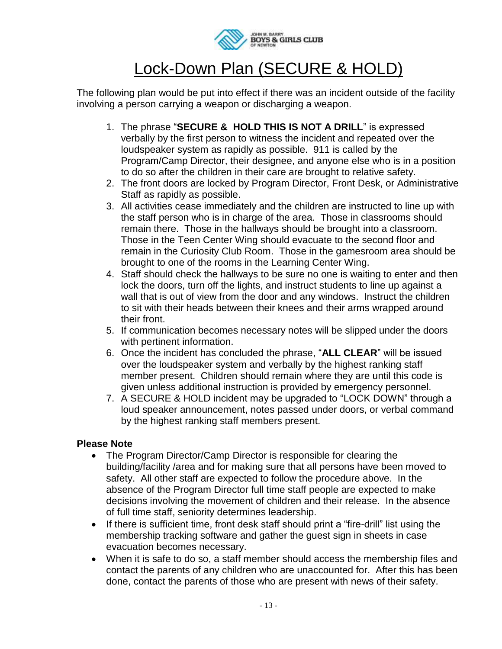

## Lock-Down Plan (SECURE & HOLD)

The following plan would be put into effect if there was an incident outside of the facility involving a person carrying a weapon or discharging a weapon.

- 1. The phrase "**SECURE & HOLD THIS IS NOT A DRILL**" is expressed verbally by the first person to witness the incident and repeated over the loudspeaker system as rapidly as possible. 911 is called by the Program/Camp Director, their designee, and anyone else who is in a position to do so after the children in their care are brought to relative safety.
- 2. The front doors are locked by Program Director, Front Desk, or Administrative Staff as rapidly as possible.
- 3. All activities cease immediately and the children are instructed to line up with the staff person who is in charge of the area. Those in classrooms should remain there. Those in the hallways should be brought into a classroom. Those in the Teen Center Wing should evacuate to the second floor and remain in the Curiosity Club Room. Those in the gamesroom area should be brought to one of the rooms in the Learning Center Wing.
- 4. Staff should check the hallways to be sure no one is waiting to enter and then lock the doors, turn off the lights, and instruct students to line up against a wall that is out of view from the door and any windows. Instruct the children to sit with their heads between their knees and their arms wrapped around their front.
- 5. If communication becomes necessary notes will be slipped under the doors with pertinent information.
- 6. Once the incident has concluded the phrase, "**ALL CLEAR**" will be issued over the loudspeaker system and verbally by the highest ranking staff member present. Children should remain where they are until this code is given unless additional instruction is provided by emergency personnel.
- 7. A SECURE & HOLD incident may be upgraded to "LOCK DOWN" through a loud speaker announcement, notes passed under doors, or verbal command by the highest ranking staff members present.

### **Please Note**

- The Program Director/Camp Director is responsible for clearing the building/facility /area and for making sure that all persons have been moved to safety. All other staff are expected to follow the procedure above. In the absence of the Program Director full time staff people are expected to make decisions involving the movement of children and their release. In the absence of full time staff, seniority determines leadership.
- If there is sufficient time, front desk staff should print a "fire-drill" list using the membership tracking software and gather the guest sign in sheets in case evacuation becomes necessary.
- When it is safe to do so, a staff member should access the membership files and contact the parents of any children who are unaccounted for. After this has been done, contact the parents of those who are present with news of their safety.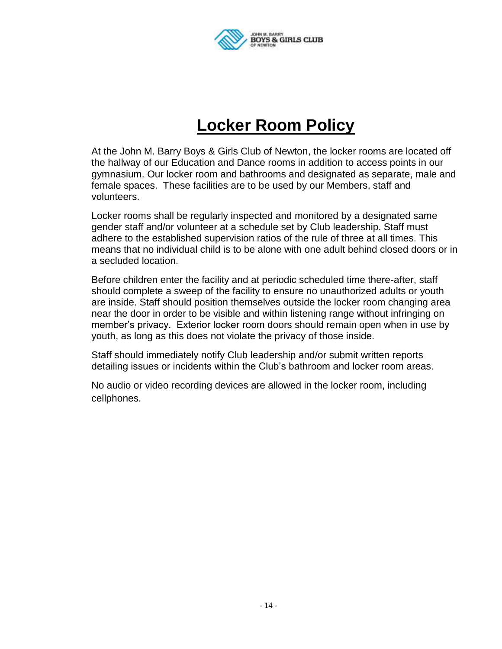

## **Locker Room Policy**

At the John M. Barry Boys & Girls Club of Newton, the locker rooms are located off the hallway of our Education and Dance rooms in addition to access points in our gymnasium. Our locker room and bathrooms and designated as separate, male and female spaces. These facilities are to be used by our Members, staff and volunteers.

Locker rooms shall be regularly inspected and monitored by a designated same gender staff and/or volunteer at a schedule set by Club leadership. Staff must adhere to the established supervision ratios of the rule of three at all times. This means that no individual child is to be alone with one adult behind closed doors or in a secluded location.

Before children enter the facility and at periodic scheduled time there-after, staff should complete a sweep of the facility to ensure no unauthorized adults or youth are inside. Staff should position themselves outside the locker room changing area near the door in order to be visible and within listening range without infringing on member's privacy. Exterior locker room doors should remain open when in use by youth, as long as this does not violate the privacy of those inside.

Staff should immediately notify Club leadership and/or submit written reports detailing issues or incidents within the Club's bathroom and locker room areas.

No audio or video recording devices are allowed in the locker room, including cellphones.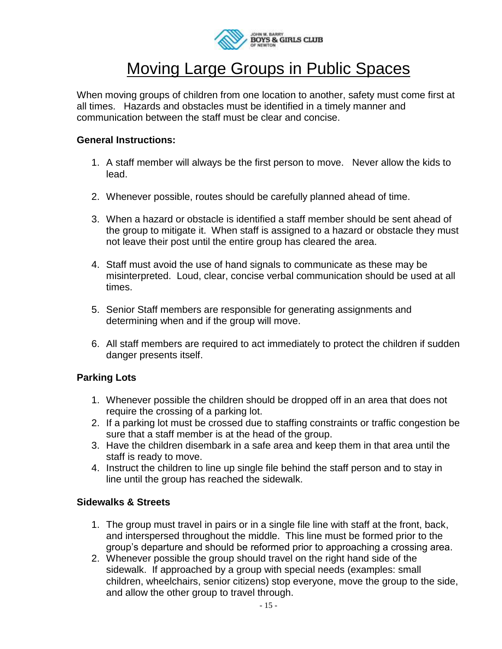

## Moving Large Groups in Public Spaces

When moving groups of children from one location to another, safety must come first at all times. Hazards and obstacles must be identified in a timely manner and communication between the staff must be clear and concise.

#### **General Instructions:**

- 1. A staff member will always be the first person to move. Never allow the kids to lead.
- 2. Whenever possible, routes should be carefully planned ahead of time.
- 3. When a hazard or obstacle is identified a staff member should be sent ahead of the group to mitigate it. When staff is assigned to a hazard or obstacle they must not leave their post until the entire group has cleared the area.
- 4. Staff must avoid the use of hand signals to communicate as these may be misinterpreted. Loud, clear, concise verbal communication should be used at all times.
- 5. Senior Staff members are responsible for generating assignments and determining when and if the group will move.
- 6. All staff members are required to act immediately to protect the children if sudden danger presents itself.

### **Parking Lots**

- 1. Whenever possible the children should be dropped off in an area that does not require the crossing of a parking lot.
- 2. If a parking lot must be crossed due to staffing constraints or traffic congestion be sure that a staff member is at the head of the group.
- 3. Have the children disembark in a safe area and keep them in that area until the staff is ready to move.
- 4. Instruct the children to line up single file behind the staff person and to stay in line until the group has reached the sidewalk.

### **Sidewalks & Streets**

- 1. The group must travel in pairs or in a single file line with staff at the front, back, and interspersed throughout the middle. This line must be formed prior to the group's departure and should be reformed prior to approaching a crossing area.
- 2. Whenever possible the group should travel on the right hand side of the sidewalk. If approached by a group with special needs (examples: small children, wheelchairs, senior citizens) stop everyone, move the group to the side, and allow the other group to travel through.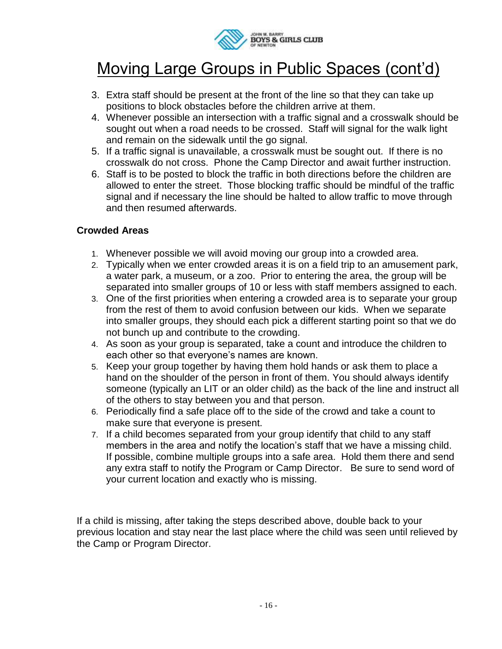

## Moving Large Groups in Public Spaces (cont'd)

- 3. Extra staff should be present at the front of the line so that they can take up positions to block obstacles before the children arrive at them.
- 4. Whenever possible an intersection with a traffic signal and a crosswalk should be sought out when a road needs to be crossed. Staff will signal for the walk light and remain on the sidewalk until the go signal.
- 5. If a traffic signal is unavailable, a crosswalk must be sought out. If there is no crosswalk do not cross. Phone the Camp Director and await further instruction.
- 6. Staff is to be posted to block the traffic in both directions before the children are allowed to enter the street. Those blocking traffic should be mindful of the traffic signal and if necessary the line should be halted to allow traffic to move through and then resumed afterwards.

### **Crowded Areas**

- 1. Whenever possible we will avoid moving our group into a crowded area.
- 2. Typically when we enter crowded areas it is on a field trip to an amusement park, a water park, a museum, or a zoo. Prior to entering the area, the group will be separated into smaller groups of 10 or less with staff members assigned to each.
- 3. One of the first priorities when entering a crowded area is to separate your group from the rest of them to avoid confusion between our kids. When we separate into smaller groups, they should each pick a different starting point so that we do not bunch up and contribute to the crowding.
- 4. As soon as your group is separated, take a count and introduce the children to each other so that everyone's names are known.
- 5. Keep your group together by having them hold hands or ask them to place a hand on the shoulder of the person in front of them. You should always identify someone (typically an LIT or an older child) as the back of the line and instruct all of the others to stay between you and that person.
- 6. Periodically find a safe place off to the side of the crowd and take a count to make sure that everyone is present.
- 7. If a child becomes separated from your group identify that child to any staff members in the area and notify the location's staff that we have a missing child. If possible, combine multiple groups into a safe area. Hold them there and send any extra staff to notify the Program or Camp Director. Be sure to send word of your current location and exactly who is missing.

If a child is missing, after taking the steps described above, double back to your previous location and stay near the last place where the child was seen until relieved by the Camp or Program Director.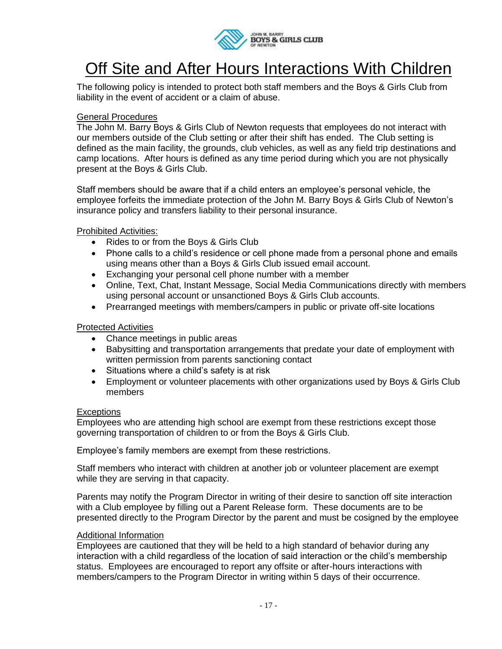

## Off Site and After Hours Interactions With Children

The following policy is intended to protect both staff members and the Boys & Girls Club from liability in the event of accident or a claim of abuse.

#### General Procedures

The John M. Barry Boys & Girls Club of Newton requests that employees do not interact with our members outside of the Club setting or after their shift has ended. The Club setting is defined as the main facility, the grounds, club vehicles, as well as any field trip destinations and camp locations. After hours is defined as any time period during which you are not physically present at the Boys & Girls Club.

Staff members should be aware that if a child enters an employee's personal vehicle, the employee forfeits the immediate protection of the John M. Barry Boys & Girls Club of Newton's insurance policy and transfers liability to their personal insurance.

#### Prohibited Activities:

- Rides to or from the Boys & Girls Club
- Phone calls to a child's residence or cell phone made from a personal phone and emails using means other than a Boys & Girls Club issued email account.
- Exchanging your personal cell phone number with a member
- Online, Text, Chat, Instant Message, Social Media Communications directly with members using personal account or unsanctioned Boys & Girls Club accounts.
- Prearranged meetings with members/campers in public or private off-site locations

#### Protected Activities

- Chance meetings in public areas
- Babysitting and transportation arrangements that predate your date of employment with written permission from parents sanctioning contact
- Situations where a child's safety is at risk
- Employment or volunteer placements with other organizations used by Boys & Girls Club members

#### **Exceptions**

Employees who are attending high school are exempt from these restrictions except those governing transportation of children to or from the Boys & Girls Club.

Employee's family members are exempt from these restrictions.

Staff members who interact with children at another job or volunteer placement are exempt while they are serving in that capacity.

Parents may notify the Program Director in writing of their desire to sanction off site interaction with a Club employee by filling out a Parent Release form. These documents are to be presented directly to the Program Director by the parent and must be cosigned by the employee

#### Additional Information

Employees are cautioned that they will be held to a high standard of behavior during any interaction with a child regardless of the location of said interaction or the child's membership status. Employees are encouraged to report any offsite or after-hours interactions with members/campers to the Program Director in writing within 5 days of their occurrence.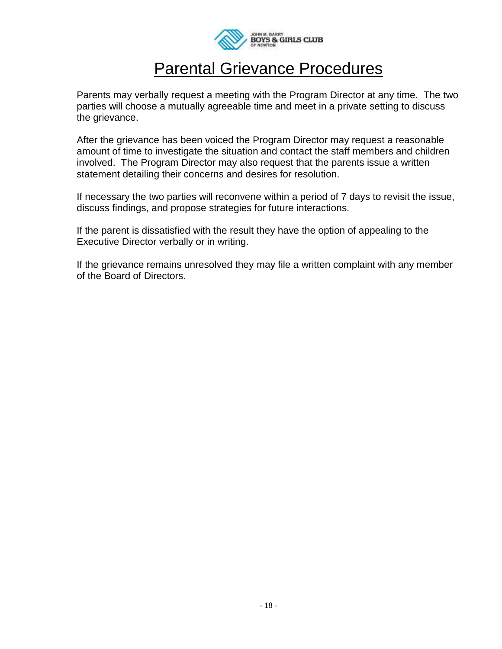

### Parental Grievance Procedures

Parents may verbally request a meeting with the Program Director at any time. The two parties will choose a mutually agreeable time and meet in a private setting to discuss the grievance.

After the grievance has been voiced the Program Director may request a reasonable amount of time to investigate the situation and contact the staff members and children involved. The Program Director may also request that the parents issue a written statement detailing their concerns and desires for resolution.

If necessary the two parties will reconvene within a period of 7 days to revisit the issue, discuss findings, and propose strategies for future interactions.

If the parent is dissatisfied with the result they have the option of appealing to the Executive Director verbally or in writing.

If the grievance remains unresolved they may file a written complaint with any member of the Board of Directors.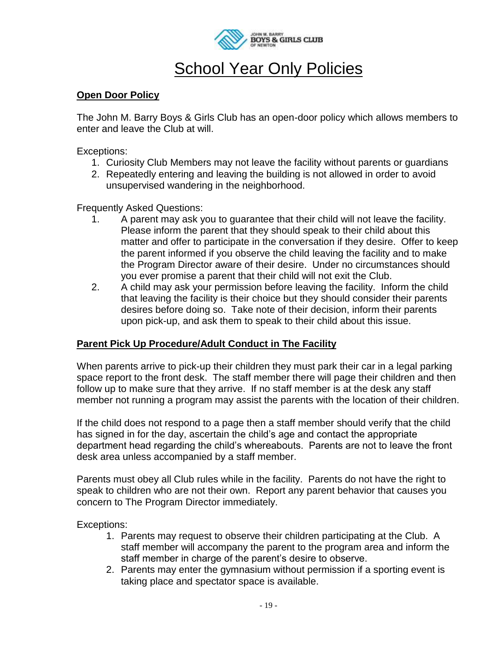

## **School Year Only Policies**

#### **Open Door Policy**

The John M. Barry Boys & Girls Club has an open-door policy which allows members to enter and leave the Club at will.

Exceptions:

- 1. Curiosity Club Members may not leave the facility without parents or guardians
- 2. Repeatedly entering and leaving the building is not allowed in order to avoid unsupervised wandering in the neighborhood.

Frequently Asked Questions:

- 1. A parent may ask you to guarantee that their child will not leave the facility. Please inform the parent that they should speak to their child about this matter and offer to participate in the conversation if they desire. Offer to keep the parent informed if you observe the child leaving the facility and to make the Program Director aware of their desire. Under no circumstances should you ever promise a parent that their child will not exit the Club.
- 2. A child may ask your permission before leaving the facility. Inform the child that leaving the facility is their choice but they should consider their parents desires before doing so. Take note of their decision, inform their parents upon pick-up, and ask them to speak to their child about this issue.

### **Parent Pick Up Procedure/Adult Conduct in The Facility**

When parents arrive to pick-up their children they must park their car in a legal parking space report to the front desk. The staff member there will page their children and then follow up to make sure that they arrive. If no staff member is at the desk any staff member not running a program may assist the parents with the location of their children.

If the child does not respond to a page then a staff member should verify that the child has signed in for the day, ascertain the child's age and contact the appropriate department head regarding the child's whereabouts. Parents are not to leave the front desk area unless accompanied by a staff member.

Parents must obey all Club rules while in the facility. Parents do not have the right to speak to children who are not their own. Report any parent behavior that causes you concern to The Program Director immediately.

Exceptions:

- 1. Parents may request to observe their children participating at the Club. A staff member will accompany the parent to the program area and inform the staff member in charge of the parent's desire to observe.
- 2. Parents may enter the gymnasium without permission if a sporting event is taking place and spectator space is available.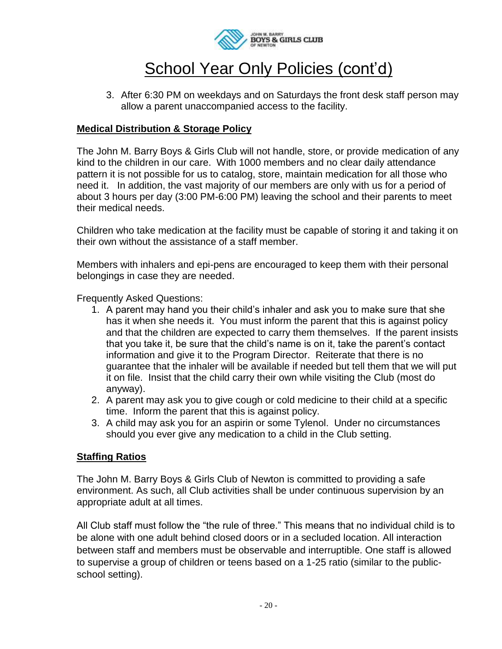

## School Year Only Policies (cont'd)

3. After 6:30 PM on weekdays and on Saturdays the front desk staff person may allow a parent unaccompanied access to the facility.

### **Medical Distribution & Storage Policy**

The John M. Barry Boys & Girls Club will not handle, store, or provide medication of any kind to the children in our care. With 1000 members and no clear daily attendance pattern it is not possible for us to catalog, store, maintain medication for all those who need it. In addition, the vast majority of our members are only with us for a period of about 3 hours per day (3:00 PM-6:00 PM) leaving the school and their parents to meet their medical needs.

Children who take medication at the facility must be capable of storing it and taking it on their own without the assistance of a staff member.

Members with inhalers and epi-pens are encouraged to keep them with their personal belongings in case they are needed.

Frequently Asked Questions:

- 1. A parent may hand you their child's inhaler and ask you to make sure that she has it when she needs it. You must inform the parent that this is against policy and that the children are expected to carry them themselves. If the parent insists that you take it, be sure that the child's name is on it, take the parent's contact information and give it to the Program Director. Reiterate that there is no guarantee that the inhaler will be available if needed but tell them that we will put it on file. Insist that the child carry their own while visiting the Club (most do anyway).
- 2. A parent may ask you to give cough or cold medicine to their child at a specific time. Inform the parent that this is against policy.
- 3. A child may ask you for an aspirin or some Tylenol. Under no circumstances should you ever give any medication to a child in the Club setting.

### **Staffing Ratios**

The John M. Barry Boys & Girls Club of Newton is committed to providing a safe environment. As such, all Club activities shall be under continuous supervision by an appropriate adult at all times.

All Club staff must follow the "the rule of three." This means that no individual child is to be alone with one adult behind closed doors or in a secluded location. All interaction between staff and members must be observable and interruptible. One staff is allowed to supervise a group of children or teens based on a 1-25 ratio (similar to the publicschool setting).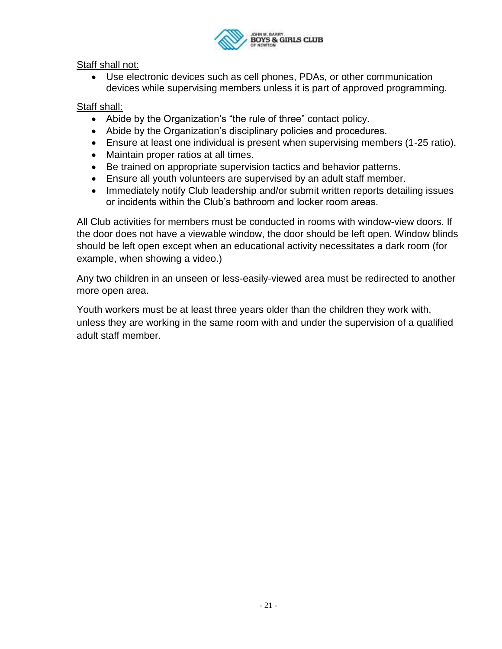

Staff shall not:

 Use electronic devices such as cell phones, PDAs, or other communication devices while supervising members unless it is part of approved programming.

### Staff shall:

- Abide by the Organization's "the rule of three" contact policy.
- Abide by the Organization's disciplinary policies and procedures.
- Ensure at least one individual is present when supervising members (1-25 ratio).
- Maintain proper ratios at all times.
- Be trained on appropriate supervision tactics and behavior patterns.
- Ensure all youth volunteers are supervised by an adult staff member.
- Immediately notify Club leadership and/or submit written reports detailing issues or incidents within the Club's bathroom and locker room areas.

All Club activities for members must be conducted in rooms with window-view doors. If the door does not have a viewable window, the door should be left open. Window blinds should be left open except when an educational activity necessitates a dark room (for example, when showing a video.)

Any two children in an unseen or less-easily-viewed area must be redirected to another more open area.

Youth workers must be at least three years older than the children they work with, unless they are working in the same room with and under the supervision of a qualified adult staff member.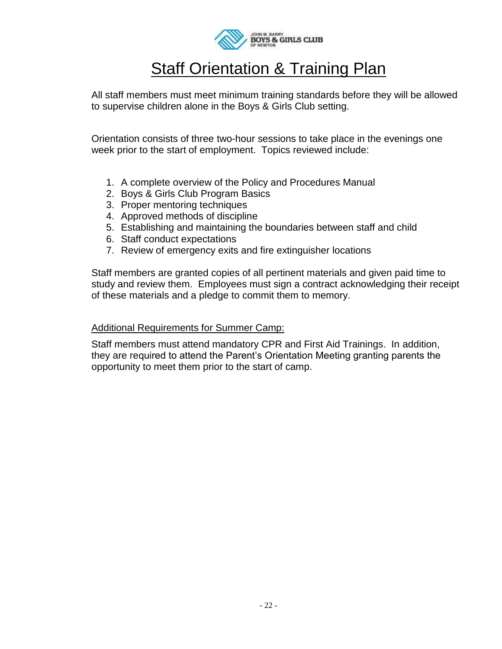

### **Staff Orientation & Training Plan**

All staff members must meet minimum training standards before they will be allowed to supervise children alone in the Boys & Girls Club setting.

Orientation consists of three two-hour sessions to take place in the evenings one week prior to the start of employment. Topics reviewed include:

- 1. A complete overview of the Policy and Procedures Manual
- 2. Boys & Girls Club Program Basics
- 3. Proper mentoring techniques
- 4. Approved methods of discipline
- 5. Establishing and maintaining the boundaries between staff and child
- 6. Staff conduct expectations
- 7. Review of emergency exits and fire extinguisher locations

Staff members are granted copies of all pertinent materials and given paid time to study and review them. Employees must sign a contract acknowledging their receipt of these materials and a pledge to commit them to memory.

#### Additional Requirements for Summer Camp:

Staff members must attend mandatory CPR and First Aid Trainings. In addition, they are required to attend the Parent's Orientation Meeting granting parents the opportunity to meet them prior to the start of camp.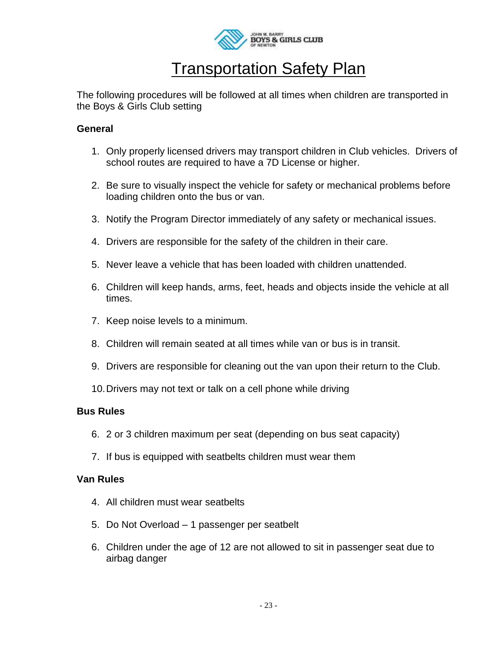

### **Transportation Safety Plan**

The following procedures will be followed at all times when children are transported in the Boys & Girls Club setting

#### **General**

- 1. Only properly licensed drivers may transport children in Club vehicles. Drivers of school routes are required to have a 7D License or higher.
- 2. Be sure to visually inspect the vehicle for safety or mechanical problems before loading children onto the bus or van.
- 3. Notify the Program Director immediately of any safety or mechanical issues.
- 4. Drivers are responsible for the safety of the children in their care.
- 5. Never leave a vehicle that has been loaded with children unattended.
- 6. Children will keep hands, arms, feet, heads and objects inside the vehicle at all times.
- 7. Keep noise levels to a minimum.
- 8. Children will remain seated at all times while van or bus is in transit.
- 9. Drivers are responsible for cleaning out the van upon their return to the Club.
- 10.Drivers may not text or talk on a cell phone while driving

### **Bus Rules**

- 6. 2 or 3 children maximum per seat (depending on bus seat capacity)
- 7. If bus is equipped with seatbelts children must wear them

#### **Van Rules**

- 4. All children must wear seatbelts
- 5. Do Not Overload 1 passenger per seatbelt
- 6. Children under the age of 12 are not allowed to sit in passenger seat due to airbag danger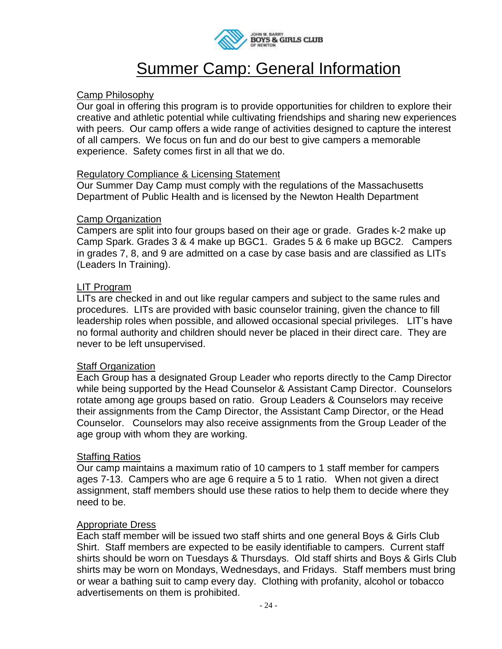

## Summer Camp: General Information

#### Camp Philosophy

Our goal in offering this program is to provide opportunities for children to explore their creative and athletic potential while cultivating friendships and sharing new experiences with peers. Our camp offers a wide range of activities designed to capture the interest of all campers. We focus on fun and do our best to give campers a memorable experience. Safety comes first in all that we do.

#### Regulatory Compliance & Licensing Statement

Our Summer Day Camp must comply with the regulations of the Massachusetts Department of Public Health and is licensed by the Newton Health Department

#### Camp Organization

Campers are split into four groups based on their age or grade. Grades k-2 make up Camp Spark. Grades 3 & 4 make up BGC1. Grades 5 & 6 make up BGC2. Campers in grades 7, 8, and 9 are admitted on a case by case basis and are classified as LITs (Leaders In Training).

#### LIT Program

LITs are checked in and out like regular campers and subject to the same rules and procedures. LITs are provided with basic counselor training, given the chance to fill leadership roles when possible, and allowed occasional special privileges. LIT's have no formal authority and children should never be placed in their direct care. They are never to be left unsupervised.

#### Staff Organization

Each Group has a designated Group Leader who reports directly to the Camp Director while being supported by the Head Counselor & Assistant Camp Director. Counselors rotate among age groups based on ratio. Group Leaders & Counselors may receive their assignments from the Camp Director, the Assistant Camp Director, or the Head Counselor. Counselors may also receive assignments from the Group Leader of the age group with whom they are working.

#### Staffing Ratios

Our camp maintains a maximum ratio of 10 campers to 1 staff member for campers ages 7-13. Campers who are age 6 require a 5 to 1 ratio. When not given a direct assignment, staff members should use these ratios to help them to decide where they need to be.

#### Appropriate Dress

Each staff member will be issued two staff shirts and one general Boys & Girls Club Shirt. Staff members are expected to be easily identifiable to campers. Current staff shirts should be worn on Tuesdays & Thursdays. Old staff shirts and Boys & Girls Club shirts may be worn on Mondays, Wednesdays, and Fridays. Staff members must bring or wear a bathing suit to camp every day. Clothing with profanity, alcohol or tobacco advertisements on them is prohibited.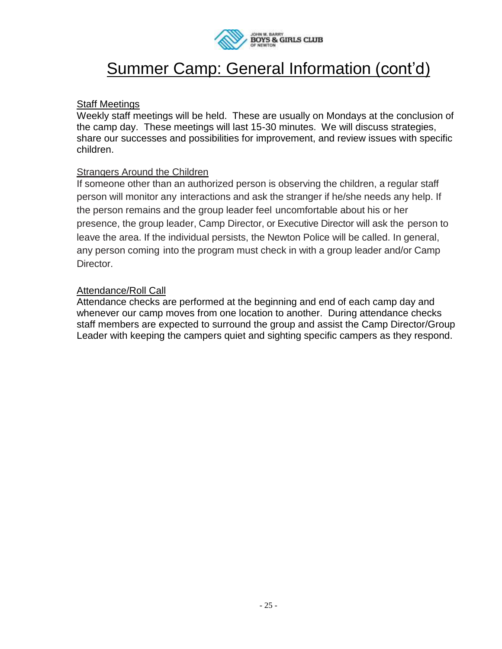

## Summer Camp: General Information (cont'd)

### Staff Meetings

Weekly staff meetings will be held. These are usually on Mondays at the conclusion of the camp day. These meetings will last 15-30 minutes. We will discuss strategies, share our successes and possibilities for improvement, and review issues with specific children.

#### Strangers Around the Children

If someone other than an authorized person is observing the children, a regular staff person will monitor any interactions and ask the stranger if he/she needs any help. If the person remains and the group leader feel uncomfortable about his or her presence, the group leader, Camp Director, or Executive Director will ask the person to leave the area. If the individual persists, the Newton Police will be called. In general, any person coming into the program must check in with a group leader and/or Camp Director.

#### Attendance/Roll Call

Attendance checks are performed at the beginning and end of each camp day and whenever our camp moves from one location to another. During attendance checks staff members are expected to surround the group and assist the Camp Director/Group Leader with keeping the campers quiet and sighting specific campers as they respond.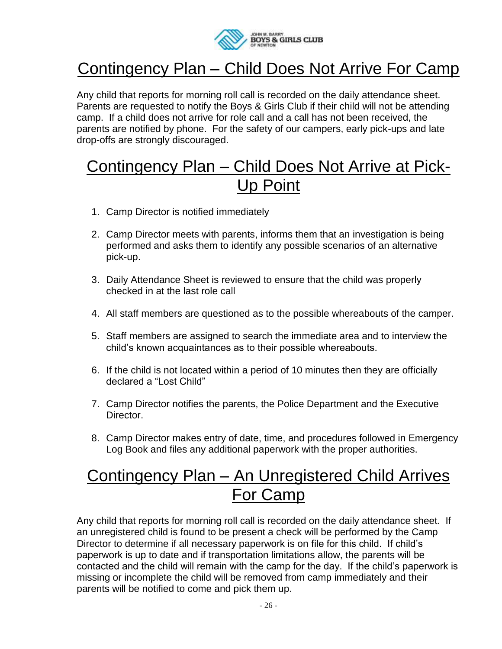

## Contingency Plan – Child Does Not Arrive For Camp

Any child that reports for morning roll call is recorded on the daily attendance sheet. Parents are requested to notify the Boys & Girls Club if their child will not be attending camp. If a child does not arrive for role call and a call has not been received, the parents are notified by phone. For the safety of our campers, early pick-ups and late drop-offs are strongly discouraged.

### Contingency Plan – Child Does Not Arrive at Pick-Up Point

- 1. Camp Director is notified immediately
- 2. Camp Director meets with parents, informs them that an investigation is being performed and asks them to identify any possible scenarios of an alternative pick-up.
- 3. Daily Attendance Sheet is reviewed to ensure that the child was properly checked in at the last role call
- 4. All staff members are questioned as to the possible whereabouts of the camper.
- 5. Staff members are assigned to search the immediate area and to interview the child's known acquaintances as to their possible whereabouts.
- 6. If the child is not located within a period of 10 minutes then they are officially declared a "Lost Child"
- 7. Camp Director notifies the parents, the Police Department and the Executive Director.
- 8. Camp Director makes entry of date, time, and procedures followed in Emergency Log Book and files any additional paperwork with the proper authorities.

## Contingency Plan – An Unregistered Child Arrives For Camp

Any child that reports for morning roll call is recorded on the daily attendance sheet. If an unregistered child is found to be present a check will be performed by the Camp Director to determine if all necessary paperwork is on file for this child. If child's paperwork is up to date and if transportation limitations allow, the parents will be contacted and the child will remain with the camp for the day. If the child's paperwork is missing or incomplete the child will be removed from camp immediately and their parents will be notified to come and pick them up.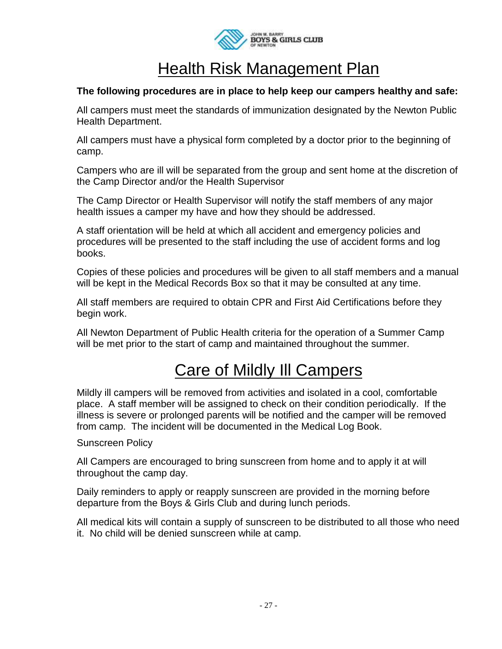

### Health Risk Management Plan

### **The following procedures are in place to help keep our campers healthy and safe:**

All campers must meet the standards of immunization designated by the Newton Public Health Department.

All campers must have a physical form completed by a doctor prior to the beginning of camp.

Campers who are ill will be separated from the group and sent home at the discretion of the Camp Director and/or the Health Supervisor

The Camp Director or Health Supervisor will notify the staff members of any major health issues a camper my have and how they should be addressed.

A staff orientation will be held at which all accident and emergency policies and procedures will be presented to the staff including the use of accident forms and log books.

Copies of these policies and procedures will be given to all staff members and a manual will be kept in the Medical Records Box so that it may be consulted at any time.

All staff members are required to obtain CPR and First Aid Certifications before they begin work.

All Newton Department of Public Health criteria for the operation of a Summer Camp will be met prior to the start of camp and maintained throughout the summer.

## Care of Mildly Ill Campers

Mildly ill campers will be removed from activities and isolated in a cool, comfortable place. A staff member will be assigned to check on their condition periodically. If the illness is severe or prolonged parents will be notified and the camper will be removed from camp. The incident will be documented in the Medical Log Book.

#### Sunscreen Policy

All Campers are encouraged to bring sunscreen from home and to apply it at will throughout the camp day.

Daily reminders to apply or reapply sunscreen are provided in the morning before departure from the Boys & Girls Club and during lunch periods.

All medical kits will contain a supply of sunscreen to be distributed to all those who need it. No child will be denied sunscreen while at camp.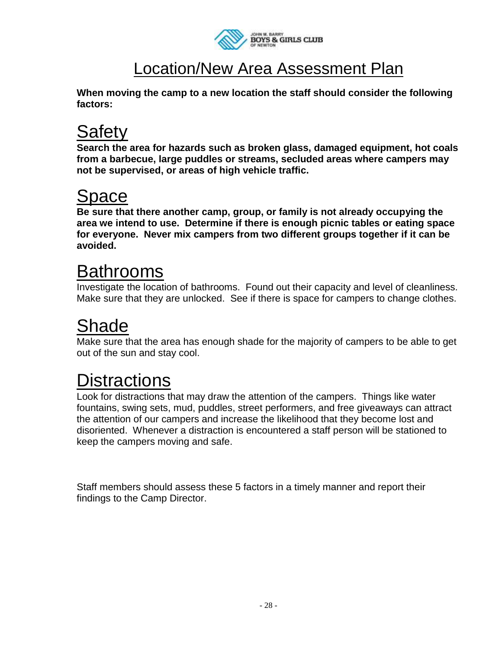

## Location/New Area Assessment Plan

**When moving the camp to a new location the staff should consider the following factors:** 

# **Safetv**

**Search the area for hazards such as broken glass, damaged equipment, hot coals from a barbecue, large puddles or streams, secluded areas where campers may not be supervised, or areas of high vehicle traffic.**

# Space

**Be sure that there another camp, group, or family is not already occupying the area we intend to use. Determine if there is enough picnic tables or eating space for everyone. Never mix campers from two different groups together if it can be avoided.**

# Bathrooms

Investigate the location of bathrooms. Found out their capacity and level of cleanliness. Make sure that they are unlocked. See if there is space for campers to change clothes.

# **Shade**

Make sure that the area has enough shade for the majority of campers to be able to get out of the sun and stay cool.

# **Distractions**

Look for distractions that may draw the attention of the campers. Things like water fountains, swing sets, mud, puddles, street performers, and free giveaways can attract the attention of our campers and increase the likelihood that they become lost and disoriented. Whenever a distraction is encountered a staff person will be stationed to keep the campers moving and safe.

Staff members should assess these 5 factors in a timely manner and report their findings to the Camp Director.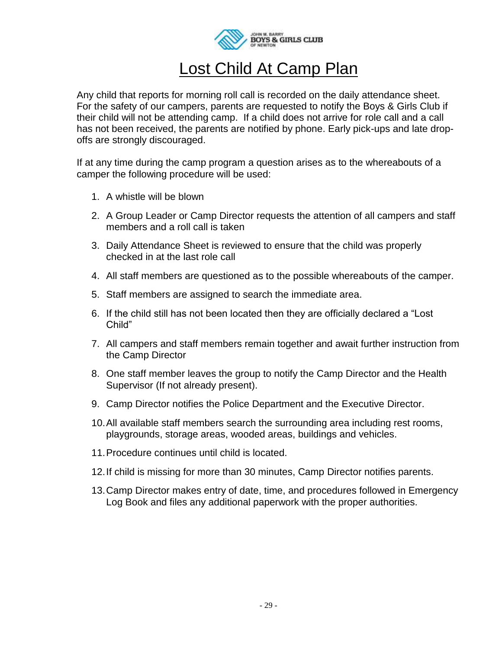

## Lost Child At Camp Plan

Any child that reports for morning roll call is recorded on the daily attendance sheet. For the safety of our campers, parents are requested to notify the Boys & Girls Club if their child will not be attending camp. If a child does not arrive for role call and a call has not been received, the parents are notified by phone. Early pick-ups and late dropoffs are strongly discouraged.

If at any time during the camp program a question arises as to the whereabouts of a camper the following procedure will be used:

- 1. A whistle will be blown
- 2. A Group Leader or Camp Director requests the attention of all campers and staff members and a roll call is taken
- 3. Daily Attendance Sheet is reviewed to ensure that the child was properly checked in at the last role call
- 4. All staff members are questioned as to the possible whereabouts of the camper.
- 5. Staff members are assigned to search the immediate area.
- 6. If the child still has not been located then they are officially declared a "Lost Child"
- 7. All campers and staff members remain together and await further instruction from the Camp Director
- 8. One staff member leaves the group to notify the Camp Director and the Health Supervisor (If not already present).
- 9. Camp Director notifies the Police Department and the Executive Director.
- 10.All available staff members search the surrounding area including rest rooms, playgrounds, storage areas, wooded areas, buildings and vehicles.
- 11.Procedure continues until child is located.
- 12.If child is missing for more than 30 minutes, Camp Director notifies parents.
- 13.Camp Director makes entry of date, time, and procedures followed in Emergency Log Book and files any additional paperwork with the proper authorities.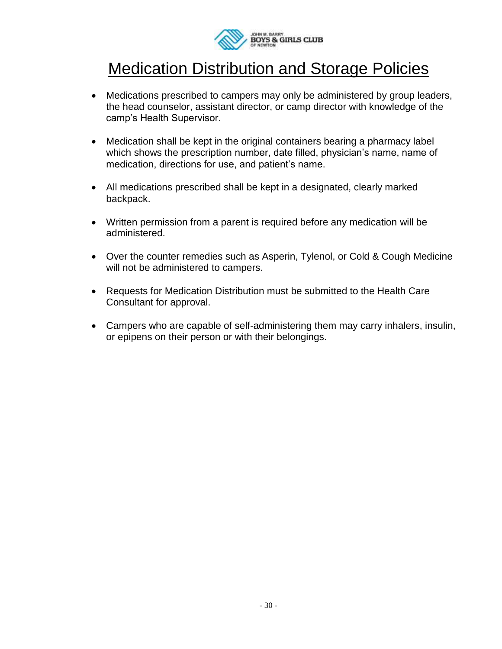

## Medication Distribution and Storage Policies

- Medications prescribed to campers may only be administered by group leaders, the head counselor, assistant director, or camp director with knowledge of the camp's Health Supervisor.
- Medication shall be kept in the original containers bearing a pharmacy label which shows the prescription number, date filled, physician's name, name of medication, directions for use, and patient's name.
- All medications prescribed shall be kept in a designated, clearly marked backpack.
- Written permission from a parent is required before any medication will be administered.
- Over the counter remedies such as Asperin, Tylenol, or Cold & Cough Medicine will not be administered to campers.
- Requests for Medication Distribution must be submitted to the Health Care Consultant for approval.
- Campers who are capable of self-administering them may carry inhalers, insulin, or epipens on their person or with their belongings.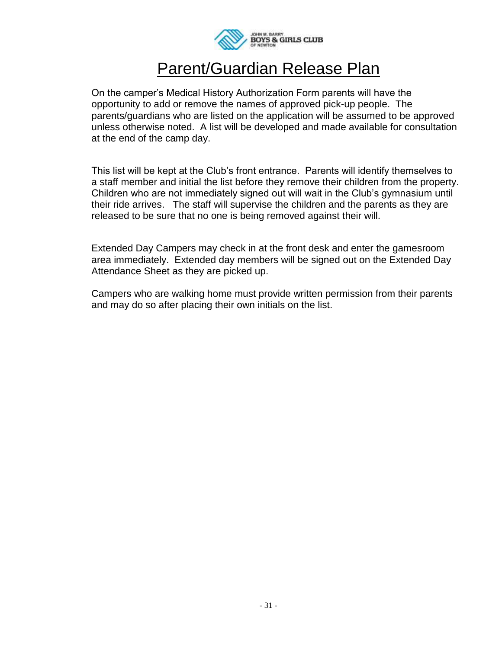

### Parent/Guardian Release Plan

On the camper's Medical History Authorization Form parents will have the opportunity to add or remove the names of approved pick-up people. The parents/guardians who are listed on the application will be assumed to be approved unless otherwise noted. A list will be developed and made available for consultation at the end of the camp day.

This list will be kept at the Club's front entrance. Parents will identify themselves to a staff member and initial the list before they remove their children from the property. Children who are not immediately signed out will wait in the Club's gymnasium until their ride arrives. The staff will supervise the children and the parents as they are released to be sure that no one is being removed against their will.

Extended Day Campers may check in at the front desk and enter the gamesroom area immediately. Extended day members will be signed out on the Extended Day Attendance Sheet as they are picked up.

Campers who are walking home must provide written permission from their parents and may do so after placing their own initials on the list.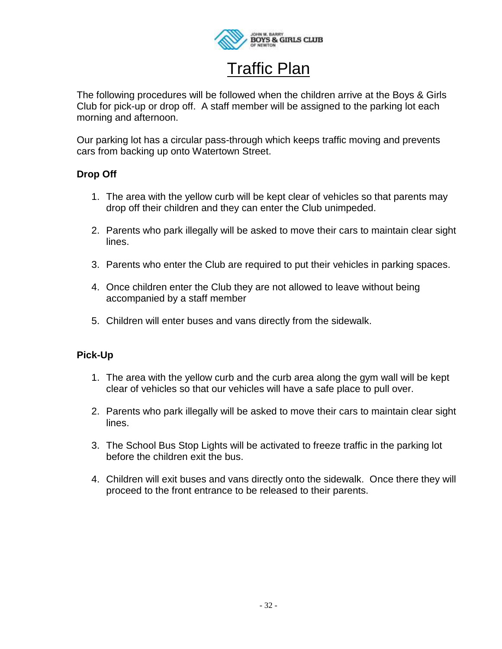

## Traffic Plan

The following procedures will be followed when the children arrive at the Boys & Girls Club for pick-up or drop off. A staff member will be assigned to the parking lot each morning and afternoon.

Our parking lot has a circular pass-through which keeps traffic moving and prevents cars from backing up onto Watertown Street.

### **Drop Off**

- 1. The area with the yellow curb will be kept clear of vehicles so that parents may drop off their children and they can enter the Club unimpeded.
- 2. Parents who park illegally will be asked to move their cars to maintain clear sight lines.
- 3. Parents who enter the Club are required to put their vehicles in parking spaces.
- 4. Once children enter the Club they are not allowed to leave without being accompanied by a staff member
- 5. Children will enter buses and vans directly from the sidewalk.

### **Pick-Up**

- 1. The area with the yellow curb and the curb area along the gym wall will be kept clear of vehicles so that our vehicles will have a safe place to pull over.
- 2. Parents who park illegally will be asked to move their cars to maintain clear sight lines.
- 3. The School Bus Stop Lights will be activated to freeze traffic in the parking lot before the children exit the bus.
- 4. Children will exit buses and vans directly onto the sidewalk. Once there they will proceed to the front entrance to be released to their parents.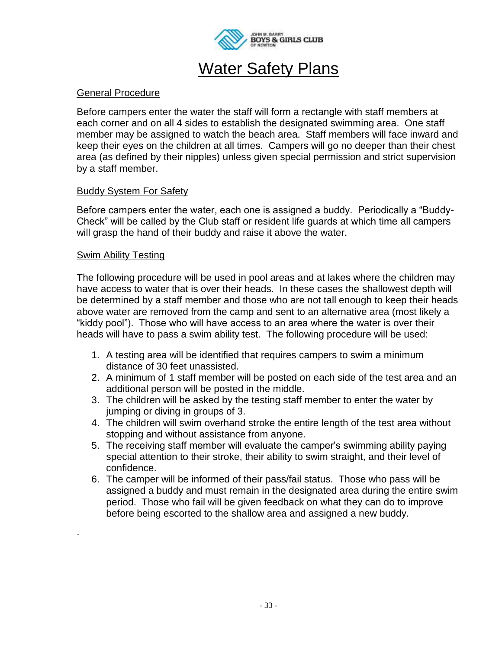

## **Water Safety Plans**

#### General Procedure

Before campers enter the water the staff will form a rectangle with staff members at each corner and on all 4 sides to establish the designated swimming area. One staff member may be assigned to watch the beach area. Staff members will face inward and keep their eyes on the children at all times. Campers will go no deeper than their chest area (as defined by their nipples) unless given special permission and strict supervision by a staff member.

#### Buddy System For Safety

Before campers enter the water, each one is assigned a buddy. Periodically a "Buddy-Check" will be called by the Club staff or resident life guards at which time all campers will grasp the hand of their buddy and raise it above the water.

#### Swim Ability Testing

.

The following procedure will be used in pool areas and at lakes where the children may have access to water that is over their heads. In these cases the shallowest depth will be determined by a staff member and those who are not tall enough to keep their heads above water are removed from the camp and sent to an alternative area (most likely a "kiddy pool"). Those who will have access to an area where the water is over their heads will have to pass a swim ability test. The following procedure will be used:

- 1. A testing area will be identified that requires campers to swim a minimum distance of 30 feet unassisted.
- 2. A minimum of 1 staff member will be posted on each side of the test area and an additional person will be posted in the middle.
- 3. The children will be asked by the testing staff member to enter the water by jumping or diving in groups of 3.
- 4. The children will swim overhand stroke the entire length of the test area without stopping and without assistance from anyone.
- 5. The receiving staff member will evaluate the camper's swimming ability paying special attention to their stroke, their ability to swim straight, and their level of confidence.
- 6. The camper will be informed of their pass/fail status. Those who pass will be assigned a buddy and must remain in the designated area during the entire swim period. Those who fail will be given feedback on what they can do to improve before being escorted to the shallow area and assigned a new buddy.